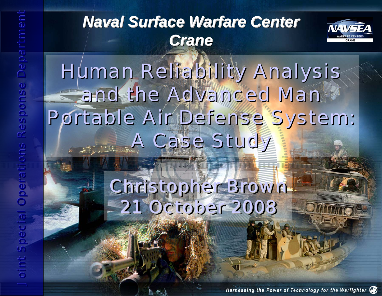



# Human Reliability Analysis Human Reliability Analysis and the Advanced Man and the Advanced Man Portable Air Defense System: Portable Air Defense System: A Case Study A Case Study Naval Surface Warfare Center<br>
Crane<br>
Human Reliability Anal<br>
and the Advanced Man<br>
Portable Air Defense System<br>
4 Case Study<br>
21 October 2008<br>
21 October 2008<br>
8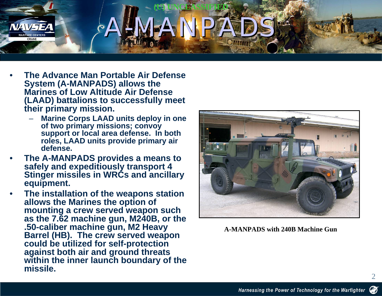#### **(U) UNCLASSIFIED** A-MANPADS ACMANDANS

- • **The Advance Man Portable Air Defense System (A-MANPADS) allows the Marines of Low Altitude Air Defense (LAAD) battalions to successfully meet their primary mission.**
	- **Marine Corps LAAD units deploy in one of two primary missions; convoy support or local area defense. In both roles, LAAD units provide primary air defense.**
- • **The A-MANPADS provides a means to safely and expeditiously transport 4 Stinger missiles in WRCs and ancillary equipment.**
- • **The installation of the weapons station allows the Marines the option of mounting a crew served weapon such as the 7.62 machine gun, M240B, or the .50-caliber machine gun, M2 Heavy Barrel (HB). The crew served weapon could be utilized for self-protection against both air and ground threats within the inner launch boundary of the missile.**



**A-MANPADS with 240B Machine Gun**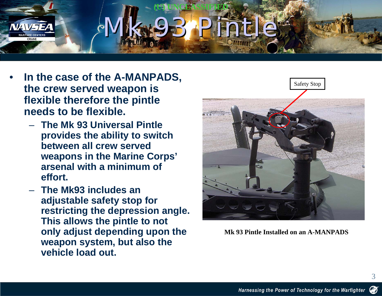#### **(U) UNCLASSIFIED** Mk 93 Pintle Mk 93 Pintle

- • **In the case of the A-MANPADS, the crew served weapon is flexible therefore the pintle needs to be flexible.** 
	- **The Mk 93 Universal Pintle provides the ability to switch between all crew served weapons in the Marine Corps' arsenal with a minimum of effort.**
	- **The Mk93 includes an adjustable safety stop for restricting the depression angle. This allows the pintle to not only adjust depending upon the weapon system, but also the vehicle load out.**



**Mk 93 Pintle Installed on an A-MANPADS**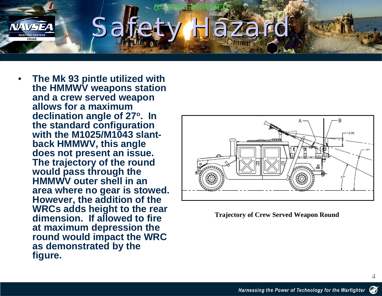

• **The Mk 93 pintle utilized with the HMMWV weapons station and a crew served weapon allows for a maximum declination angle of 27 o. In the standard configuration with the M1025/M1043 slantback HMMWV, this angle does not present an issue. The trajectory of the round would pass through the HMMWV outer shell in an area where no gear is stowed. However, the addition of the WRCs adds height to the rear dimension. If allowed to fire at maximum depression the round would impact the WRC as demonstrated by the figure.** 



**Trajectory of Crew Served Weapon Round**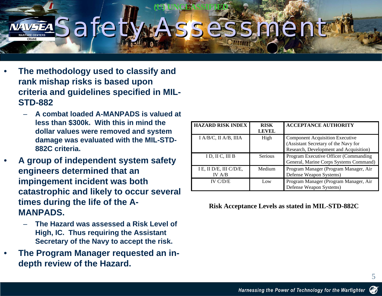are:

**(U) UNCLASSIFIED**

- • **The methodology used to classify and rank mishap risks is based upon criteria and guidelines specified in MIL-STD-882**
	- **A combat loaded A-MANPADS is valued at less than \$300k. With this in mind the dollar values were removed and system damage was evaluated with the MIL-STD-882C criteria.**
- • **A group of independent system safety engineers determined that an impingement incident was both catastrophic and likely to occur several times during the life of the A-MANPADS.**
	- **The Hazard was assessed a Risk Level of High, IC. Thus requiring the Assistant Secretary of the Navy to accept the risk.**
- • **The Program Manager requested an indepth review of the Hazard.**

| <b>HAZARD RISK INDEX</b>          | <b>RISK</b><br><b>LEVEL</b> | <b>ACCEPTANCE AUTHORITY</b>                                                                                              |
|-----------------------------------|-----------------------------|--------------------------------------------------------------------------------------------------------------------------|
| I A/B/C, II A/B, IIIA             | High                        | <b>Component Acquisition Executive</b><br>(Assistant Secretary of the Navy for<br>Research, Development and Acquisition) |
| ID, IIC, III B                    | <b>Serious</b>              | Program Executive Officer (Commanding)<br>General, Marine Corps Systems Command)                                         |
| I E, II D/E, III C/D/E,<br>IV A/B | Medium                      | Program Manager (Program Manager, Air<br>Defense Weapon Systems)                                                         |
| IV $C/D/E$                        | Low                         | Program Manager (Program Manager, Air<br>Defense Weapon Systems)                                                         |

**Risk Acceptance Levels as stated in MIL-STD-882C**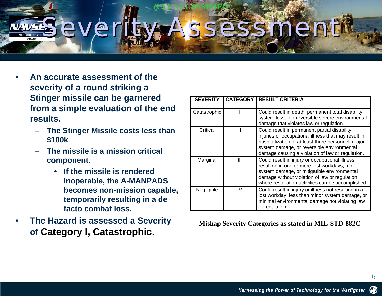# ever

**(U) UNCLASSIFIED**

- • **An accurate assessment of the severity of a round striking a Stinger missile can be garnered from a simple evaluation of the end results.** 
	- **The Stinger Missile costs less than \$100k**
	- **The missile is a mission critical component.** 
		- **If the missile is rendered inoperable, the A-MANPADS becomes non-mission capable, temporarily resulting in a de facto combat loss.**
- • **The Hazard is assessed a Severity of Category I, Catastrophic.**

| <b>SEVERITY</b> | <b>CATEGORY</b> | <b>RESULT CRITERIA</b>                                                                                                                                                                                                                                       |
|-----------------|-----------------|--------------------------------------------------------------------------------------------------------------------------------------------------------------------------------------------------------------------------------------------------------------|
| Catastrophic    |                 | Could result in death, permanent total disability,<br>system loss, or irreversible severe environmental<br>damage that violates law or regulation.                                                                                                           |
| Critical        | Ш               | Could result in permanent partial disability,<br>injuries or occupational illness that may result in<br>hospitalization of at least three personnel, major<br>system damage, or reversible environmental<br>damage causing a violation of law or regulation. |
| Marginal        | Ш               | Could result in injury or occupational illness<br>resulting in one or more lost workdays, minor<br>system damage, or mitigatible environmental<br>damage without violation of law or regulation<br>where restoration activities can be accomplished.         |
| Negligible      | IV              | Could result in injury or illness not resulting in a<br>lost workday, less than minor system damage, or<br>minimal environmental damage not violating law<br>or regulation.                                                                                  |

**Mishap Severity Categories as stated in MIL-STD-882C**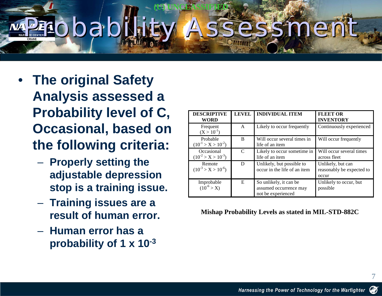### **(U) UNCLASSIFIED** Pobability Assessmer

- **The original Safety Analysis assessed a Probability level of C, Occasional, based on the following criteria:**
	- $\mathcal{L}_{\mathcal{A}}$  , and the set of  $\mathcal{L}_{\mathcal{A}}$  , and the set of  $\mathcal{L}_{\mathcal{A}}$  **Properly setting the adjustable depression stop is a training issue.**
	- $\mathcal{L}_{\mathcal{A}}$  , and the set of  $\mathcal{L}_{\mathcal{A}}$  , and the set of  $\mathcal{L}_{\mathcal{A}}$  **Training issues are a result of human error.**
	- **Human error has a probability of 1 x 10-3**

| <b>DESCRIPTIVE</b><br><b>WORD</b>       | <b>LEVEL</b> | <b>INDIVIDUAL ITEM</b>                                                 | <b>FLEET OR</b><br><b>INVENTORY</b>                     |
|-----------------------------------------|--------------|------------------------------------------------------------------------|---------------------------------------------------------|
| Frequent<br>$(X > 10^{-1})$             | A            | Likely to occur frequently                                             | Continuously experienced                                |
| Probable<br>$(10^{-1} > X > 10^{-2})$   | B            | Will occur several times in<br>life of an item                         | Will occur frequently                                   |
| Occasional<br>$(10^{-2} > X > 10^{-3})$ | C            | Likely to occur sometime in<br>life of an item                         | Will occur several times<br>across fleet                |
| Remote<br>$(10^{-3} > X > 10^{-6})$     | D            | Unlikely, but possible to<br>occur in the life of an item              | Unlikely, but can<br>reasonably be expected to<br>occur |
| Improbable<br>$(10^{-6} > X)$           | E            | So unlikely, it can be<br>assumed occurrence may<br>not be experienced | Unlikely to occur, but<br>possible                      |

**Mishap Probability Levels as stated in MIL-STD-882C**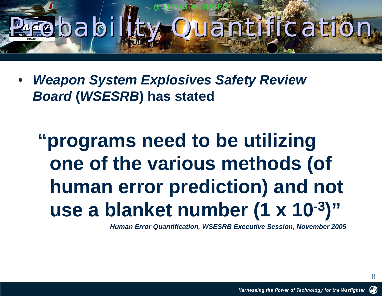### **(U) UNCLASSIFIED Probability Quantificatio**

 $\bullet$  *Weapon System Explosives Safety Review Board* **(***WSESRB***) has stated**

### **"programs need to be utilizing one of the various methods (of human error prediction) and not use a blanket number (1 x 10-3)"**

*Human Error Quantification, WSESRB Executive Session, November 2005*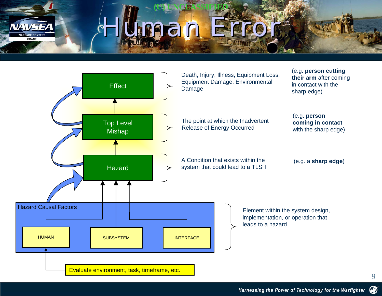

# Human Error

**(U) UNCLASSIFIED**

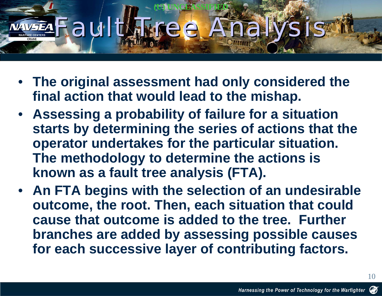### **(U) UNCLASSIFIED** Fault Manee Analy

- **The original assessment had only considered the final action that would lead to the mishap.**
- $\bullet$  **Assessing a probability of failure for a situation starts by determining the series of actions that the operator undertakes for the particular situation. The methodology to determine the actions is known as a fault tree analysis (FTA).**
- $\bullet$  **An FTA begins with the selection of an undesirable outcome, the root. Then, each situation that could cause that outcome is added to the tree. Further branches are added by assessing possible causes for each successive layer of contributing factors.**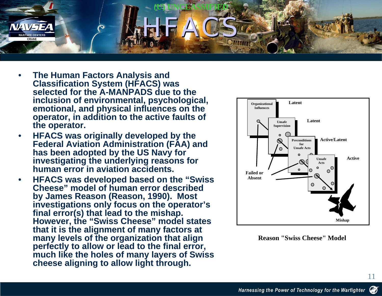

- • **The Human Factors Analysis and Classification System (HFACS) was selected for the A-MANPADS due to the inclusion of environmental, psychological, emotional, and physical influences on the operator, in addition to the active faults of the operator.**
- • **HFACS was originally developed by the Federal Aviation Administration (FAA) and has been adopted by the US Navy for investigating the underlying reasons for human error in aviation accidents.**
- • **HFACS was developed based on the "Swiss Cheese" model of human error described by James Reason (Reason, 1990). Most investigations only focus on the operator's final error(s) that lead to the mishap. However, the "Swiss Cheese" model states that it is the alignment of many factors at many levels of the organization that align perfectly to allow or lead to the final error, much like the holes of many layers of Swiss cheese aligning to allow light through.**



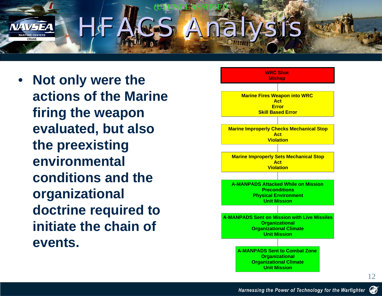

 $\bullet$  **Not only were the actions of the Marine firing the weapon evaluated, but also the preexisting environmental conditions and the organizational doctrine required to initiate the chain of events.**

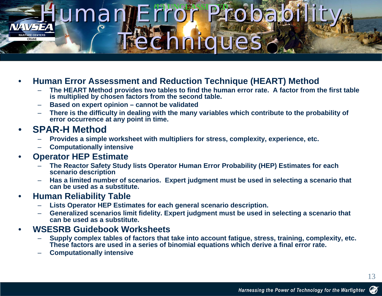# Human Error Probability Techniques Techniques

#### •**Human Error Assessment and Reduction Technique (HEART) Method**

- – **The HEART Method provides two tables to find the human error rate. A factor from the first table is multiplied by chosen factors from the second table.**
- –**Based on expert opinion – cannot be validated**
- – **There is the difficulty in dealing with the many variables which contribute to the probability of error occurrence at any point in time.**

#### •**SPAR-H Method**

- –**Provides a simple worksheet with multipliers for stress, complexity, experience, etc.**
- –**Computationally intensive**

#### •**Operator HEP Estimate**

- – **The Reactor Safety Study lists Operator Human Error Probability (HEP) Estimates for each scenario description**
- – **Has a limited number of scenarios. Expert judgment must be used in selecting a scenario that can be used as a substitute.**

#### •**Human Reliability Table**

- –**Lists Operator HEP Estimates for each general scenario description.**
- **Generalized scenarios limit fidelity. Expert judgment must be used in selecting a scenario that can be used as a substitute.**

#### •**WSESRB Guidebook Worksheets**

- – **Supply complex tables of factors that take into account fatigue, stress, training, complexity, etc. These factors are used in a series of binomial equations which derive a final error rate.**
- –**Computationally intensive**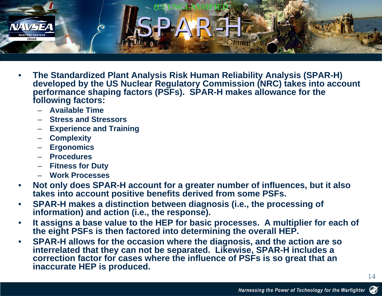

- • **The Standardized Plant Analysis Risk Human Reliability Analysis (SPAR-H) developed by the US Nuclear Regulatory Commission (NRC) takes into account performance shaping factors (PSFs). SPAR-H makes allowance for the following factors:**
	- **Available Time**
	- **Stress and Stressors**
	- **Experience and Training**
	- **Complexity**
	- **Ergonomics**
	- **Procedures**
	- **Fitness for Duty**
	- **Work Processes**
- • **Not only does SPAR-H account for a greater number of influences, but it also takes into account positive benefits derived from some PSFs.**
- • **SPAR-H makes a distinction between diagnosis (i.e., the processing of information) and action (i.e., the response).**
- • **It assigns a base value to the HEP for basic processes. A multiplier for each of the eight PSFs is then factored into determining the overall HEP.**
- • **SPAR-H allows for the occasion where the diagnosis, and the action are so interrelated that they can not be separated. Likewise, SPAR-H includes a correction factor for cases where the influence of PSFs is so great that an inaccurate HEP is produced.**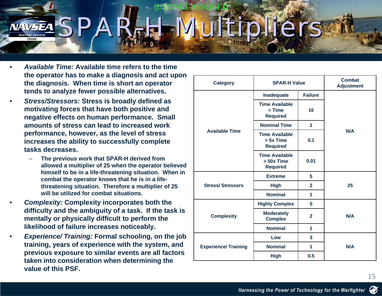### **(U) UNCLASSIFIED** SPAR-H Multipliers

- • *Available Time:* **Available time refers to the time the operator has to make a diagnosis and act upon the diagnosis. When time is short an operator tends to analyze fewer possible alternatives.**
- • *Stress/Stressors:* **Stress is broadly defined as motivating forces that have both positive and negative effects on human performance. Small amounts of stress can lead to increased work performance, however, as the level of stress increases the ability to successfully complete tasks decreases.**
	- **The previous work that SPAR-H derived from allowed a multiplier of 25 when the operator believed himself to be in a life-threatening situation. When in combat the operator knows that he is in a lifethreatening situation. Therefore a multiplier of 25 will be utilized for combat situations.**
- • *Complexity:* **Complexity incorporates both the difficulty and the ambiguity of a task. If the task is mentally or physically difficult to perform the likelihood of failure increases noticeably.**
- • *Experience/ Training:* **Formal schooling, on the job training, years of experience with the system, and previous exposure to similar events are all factors taken into consideration when determining the value of this PSF.**

| <b>Category</b>             | <b>SPAR-H Value</b>                                      | <b>Combat</b><br><b>Adjustment</b> |     |
|-----------------------------|----------------------------------------------------------|------------------------------------|-----|
|                             | Inadequate                                               | <b>Failure</b>                     |     |
|                             | <b>Time Available</b><br>$=$ Time<br><b>Required</b>     | 10                                 |     |
|                             | <b>Nominal Time</b>                                      | 1                                  | N/A |
| <b>Available Time</b>       | <b>Time Available</b><br>> 5x Time<br><b>Required</b>    | 0.1                                |     |
|                             | <b>Time Available</b><br>$> 50x$ Time<br><b>Required</b> | 0.01                               |     |
|                             | <b>Extreme</b>                                           | 5                                  |     |
| <b>Stress/Stressors</b>     | <b>High</b>                                              | $\overline{2}$                     | 25  |
|                             | <b>Nominal</b>                                           | 1                                  |     |
|                             | <b>Highly Complex</b>                                    | 5                                  |     |
| <b>Complexity</b>           | <b>Moderately</b><br><b>Complex</b>                      | $\overline{2}$                     | N/A |
|                             | <b>Nominal</b>                                           | 1                                  |     |
| <b>Experience/ Training</b> | Low                                                      | 3                                  |     |
|                             | <b>Nominal</b>                                           | 1                                  | N/A |
|                             | <b>High</b>                                              | 0.5                                |     |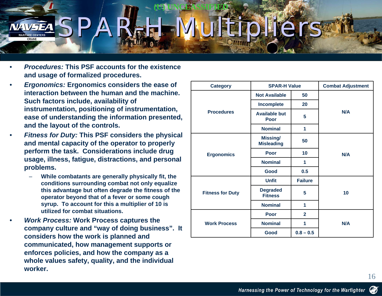### **(U) UNCLASSIFIED** SPAR-H Multipliers

- • *Procedures:* **This PSF accounts for the existence and usage of formalized procedures.**
- • *Ergonomics:* **Ergonomics considers the ease of interaction between the human and the machine. Such factors include, availability of instrumentation, positioning of instrumentation, ease of understanding the information presented, and the layout of the controls.**
- • *Fitness for Duty:* **This PSF considers the physical and mental capacity of the operator to properly perform the task. Considerations include drug usage, illness, fatigue, distractions, and personal problems.**
	- **While combatants are generally physically fit, the conditions surrounding combat not only equalize this advantage but often degrade the fitness of the operator beyond that of a fever or some cough syrup. To account for this a multiplier of 10 is utilized for combat situations.**
- • *Work Process:* **Work Process captures the company culture and "way of doing business". It considers how the work is planned and communicated, how management supports or enforces policies, and how the company as a whole values safety, quality, and the individual worker.**

| <b>Category</b>         | <b>SPAR-H Value</b>                  |                | <b>Combat Adjustment</b> |  |
|-------------------------|--------------------------------------|----------------|--------------------------|--|
|                         | <b>Not Available</b>                 | 50             |                          |  |
|                         | <b>Incomplete</b>                    | 20             |                          |  |
| <b>Procedures</b>       | <b>Available but</b><br>Poor         | 5              | N/A                      |  |
|                         | <b>Nominal</b>                       | 1              |                          |  |
|                         | <b>Missing/</b><br><b>Misleading</b> | 50             |                          |  |
| <b>Ergonomics</b>       | Poor                                 | 10             |                          |  |
|                         | <b>Nominal</b>                       | 1              |                          |  |
|                         | Good                                 | 0.5            |                          |  |
|                         | <b>Unfit</b>                         | <b>Failure</b> |                          |  |
| <b>Fitness for Duty</b> | <b>Degraded</b><br><b>Fitness</b>    | 5              | 10                       |  |
|                         | <b>Nominal</b>                       | 1              |                          |  |
|                         | Poor                                 | $\mathbf{2}$   |                          |  |
| <b>Work Process</b>     | <b>Nominal</b>                       | 1              | N/A                      |  |
|                         | Good                                 | $0.8 - 0.5$    |                          |  |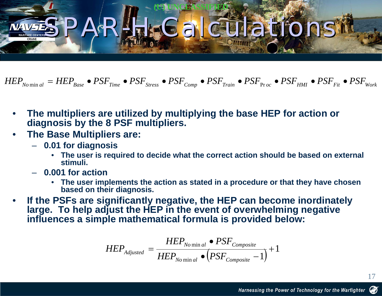### **(U) UNCLASSIFIED** SPARH FCalculations

 $HEP_{\scriptsize{Nonin \, all \, \infty}} = HEP_{\scriptsize{Base}} \bullet PSF_{\scriptsize{Time}} \bullet PSF_{\scriptsize{Stress}} \bullet PSF_{\scriptsize{Comp}} \bullet PSF_{\scriptsize{Train}} \bullet PSF_{\scriptsize{Proc}} \bullet PSF_{\scriptsize{HM}} \bullet PSF_{\scriptsize{Fit}} \bullet PSF_{\scriptsize{Work}}$ 

- • **The multipliers are utilized by multiplying the base HEP for action or diagnosis by the 8 PSF multipliers.**
- • **The Base Multipliers are:**
	- **0.01 for diagnosis**
		- **The user is required to decide what the correct action should be based on external stimuli.**
	- **0.001 for action**
		- **The user implements the action as stated in a procedure or that they have chosen based on their diagnosis.**
- • **If the PSFs are significantly negative, the HEP can become inordinately large. To help adjust the HEP in the event of overwhelming negative influences a simple mathematical formula is provided below:**

$$
HEP_{adjusted} = \frac{HEP_{No \min al} \bullet PSF_{Composite}}{HEP_{No \min al} \bullet (PSF_{Composite} - 1)} + 1
$$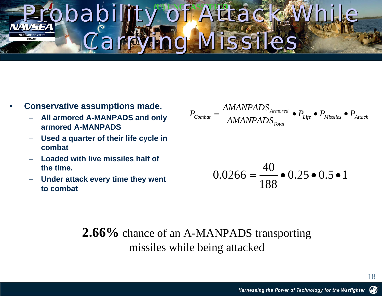# Probability of Attack While Carrying Missiles Carrying Missiles

- • **Conservative assumptions made.**
	- – **All armored A-MANPADS and only armored A-MANPADS**
	- **Used a quarter of their life cycle in combat**
	- **Loaded with live missiles half of the time.**
	- **Under attack every time they went to combat**

$$
P_{\textit{Combat}} = \frac{AMANPADS_{\textit{Armored}}}{AMANDADS_{\textit{Total}}} \bullet P_{\textit{Life}} \bullet P_{\textit{Missiles}} \bullet P_{\textit{Attack}}
$$

$$
0.0266 = \frac{40}{188} \bullet 0.25 \bullet 0.5 \bullet 1
$$

#### **2.66%** chance of an A-MANPADS transporting missiles while being attacked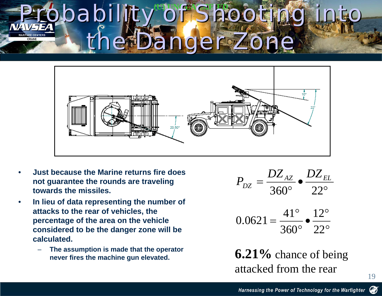# Probability of Shooting into the Danger Zone



- • **Just because the Marine returns fire does not guarantee the rounds are traveling towards the missiles.**
- • **In lieu of data representing the number of attacks to the rear of vehicles, the percentage of the area on the vehicle considered to be the danger zone will be calculated.** 
	- – **The assumption is made that the operator never fires the machine gun elevated.**

$$
P_{DZ} = \frac{DZ_{AZ}}{360^{\circ}} \cdot \frac{DZ_{EL}}{22^{\circ}}
$$

$$
0.0621 = \frac{41^{\circ}}{360^{\circ}} \cdot \frac{12^{\circ}}{22^{\circ}}
$$

**6.21%** chance of being attacked from the rear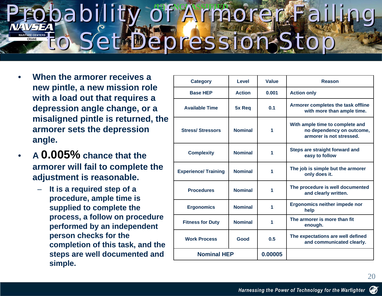# Probability of Armorer Failing to Set Depression Stop to Set Depression Stop

- • **When the armorer receives a new pintle, a new mission role with a load out that requires a depression angle change, or a misaligned pintle is returned, the armorer sets the depression angle.**
- • **A 0.005% chance that the armorer will fail to complete the adjustment is reasonable.** 
	- **It is a required step of a procedure, ample time is supplied to complete the process, a follow on procedure performed by an independent person checks for the completion of this task, and the steps are well documented and simple.**

| <b>Category</b>             | Level          | Value   | Reason                                                                                   |
|-----------------------------|----------------|---------|------------------------------------------------------------------------------------------|
| <b>Base HEP</b>             | <b>Action</b>  | 0.001   | <b>Action only</b>                                                                       |
| <b>Available Time</b>       | 5x Req         | 0.1     | Armorer completes the task offline<br>with more than ample time.                         |
| <b>Stress/Stressors</b>     | <b>Nominal</b> | 1       | With ample time to complete and<br>no dependency on outcome,<br>armorer is not stressed. |
| <b>Complexity</b>           | <b>Nominal</b> | 1       | Steps are straight forward and<br>easy to follow                                         |
| <b>Experience/ Training</b> | <b>Nominal</b> | 1       | The job is simple but the armorer<br>only does it.                                       |
| <b>Procedures</b>           | <b>Nominal</b> | 1       | The procedure is well documented<br>and clearly written.                                 |
| <b>Ergonomics</b>           | <b>Nominal</b> | 1       | Ergonomics neither impede nor<br>help                                                    |
| <b>Fitness for Duty</b>     | <b>Nominal</b> | 1       | The armorer is more than fit<br>enough.                                                  |
| <b>Work Process</b>         | Good           | 0.5     | The expectations are well defined<br>and communicated clearly.                           |
| <b>Nominal HEP</b>          |                | 0.00005 |                                                                                          |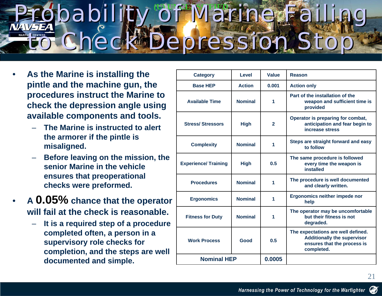#### Probability of Marine Failing to Check Depression Stop pability of Marine to Check Depression Stop

- • **As the Marine is installing the pintle and the machine gun, the procedures instruct the Marine to check the depression angle using available components and tools.** 
	- **The Marine is instructed to alert the armorer if the pintle is misaligned.**
	- **Before leaving on the mission, the senior Marine in the vehicle ensures that preoperational checks were preformed.**
- • **A 0.05% chance that the operator will fail at the check is reasonable.** 
	- **It is a required step of a procedure completed often, a person in a supervisory role checks for completion, and the steps are well documented and simple.**

| <b>Category</b>             | Level          | Value        | Reason                                                                                                                |  |
|-----------------------------|----------------|--------------|-----------------------------------------------------------------------------------------------------------------------|--|
| <b>Base HEP</b>             | <b>Action</b>  | 0.001        | <b>Action only</b>                                                                                                    |  |
| <b>Available Time</b>       | <b>Nominal</b> | 1            | Part of the installation of the<br>weapon and sufficient time is<br>provided                                          |  |
| <b>Stress/Stressors</b>     | <b>High</b>    | $\mathbf{2}$ | Operator is preparing for combat,<br>anticipation and fear begin to<br>increase stress                                |  |
| <b>Complexity</b>           | <b>Nominal</b> | 1            | Steps are straight forward and easy<br>to follow                                                                      |  |
| <b>Experience/ Training</b> | <b>High</b>    | 0.5          | The same procedure is followed<br>every time the weapon is<br><b>installed</b>                                        |  |
| <b>Procedures</b>           | <b>Nominal</b> | 1            | The procedure is well documented<br>and clearly written.                                                              |  |
| <b>Ergonomics</b>           | <b>Nominal</b> | 1            | Ergonomics neither impede nor<br>help                                                                                 |  |
| <b>Fitness for Duty</b>     | <b>Nominal</b> | 1            | The operator may be uncomfortable<br>but their fitness is not<br>degraded.                                            |  |
| <b>Work Process</b>         | Good           | 0.5          | The expectations are well defined.<br><b>Additionally the supervisor</b><br>ensures that the process is<br>completed. |  |
| <b>Nominal HEP</b>          |                | 0.0005       |                                                                                                                       |  |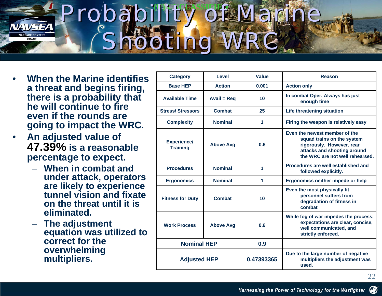# Probability of Marine Shooting WRC Shooting WRC

- • **When the Marine identifies a threat and begins firing, there is a probability that he will continue to fire even if the rounds aregoing to impact the WRC.**
- • **An adjusted value of 47.39% is a reasonable percentage to expect.** 
	- **When in combat and under attack, operators are likely to experience tunnel vision and fixate on the threat until it is eliminated.**
	- **The adjustment equation was utilized to correct for the overwhelming multipliers.**

| <b>Category</b>                       | <b>Level</b>       | <b>Value</b> | <b>Reason</b>                                                                                                                                              |  |
|---------------------------------------|--------------------|--------------|------------------------------------------------------------------------------------------------------------------------------------------------------------|--|
| <b>Base HEP</b>                       | <b>Action</b>      | 0.001        | <b>Action only</b>                                                                                                                                         |  |
| <b>Available Time</b>                 | Avail = $Req$      | 10           | In combat Oper. Always has just<br>enough time                                                                                                             |  |
| <b>Stress/Stressors</b>               | <b>Combat</b>      | 25           | <b>Life threatening situation</b>                                                                                                                          |  |
| <b>Complexity</b>                     | <b>Nominal</b>     | 1            | Firing the weapon is relatively easy                                                                                                                       |  |
| <b>Experience/</b><br><b>Training</b> | <b>Above Avg</b>   | 0.6          | Even the newest member of the<br>squad trains on the system<br>rigorously. However, rear<br>attacks and shooting around<br>the WRC are not well rehearsed. |  |
| <b>Procedures</b>                     | <b>Nominal</b>     | 1            | Procedures are well established and<br>followed explicitly.                                                                                                |  |
| <b>Ergonomics</b>                     | <b>Nominal</b>     | 1            | Ergonomics neither impede or help                                                                                                                          |  |
| <b>Fitness for Duty</b>               | <b>Combat</b>      | 10           | Even the most physically fit<br>personnel suffers from<br>degradation of fitness in<br>combat                                                              |  |
| <b>Work Process</b>                   | <b>Above Avg</b>   | 0.6          | While fog of war impedes the process;<br>expectations are clear, concise,<br>well communicated, and<br>strictly enforced.                                  |  |
|                                       | <b>Nominal HEP</b> |              |                                                                                                                                                            |  |
| <b>Adjusted HEP</b>                   |                    | 0.47393365   | Due to the large number of negative<br>multipliers the adjustment was<br>used.                                                                             |  |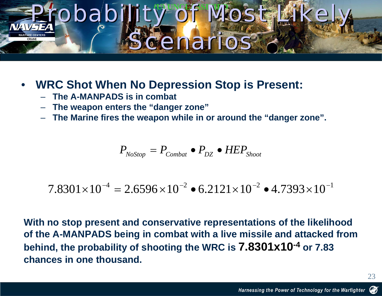### Probability of Most Likely Scenarios

#### •**WRC Shot When No Depression Stop is Present:**

- –**The A-MANPADS is in combat**
- **The weapon enters the "danger zone"**
- –**The Marine fires the weapon while in or around the "danger zone".**

$$
P_{\scriptscriptstyle NoStop} = P_{\scriptscriptstyle Combat} \bullet P_{\scriptscriptstyle DZ} \bullet HEP_{\scriptscriptstyle Shoot}
$$

$$
7.8301 \times 10^{-4} = 2.6596 \times 10^{-2} \cdot 6.2121 \times 10^{-2} \cdot 4.7393 \times 10^{-1}
$$

**With no stop present and conservative representations of the likelihood of the A-MANPADS being in combat with a live missile and attacked from behind, the probability of shooting the WRC is 7.8301x10-4 or 7.83 chances in one thousand.**

23

Ø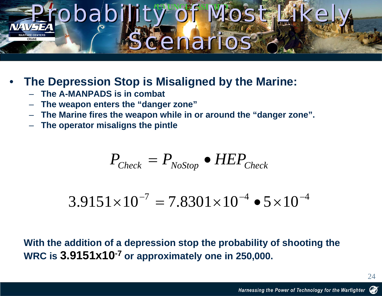### Probability of Most Likely Scenarios

#### •**The Depression Stop is Misaligned by the Marine:**

- –**The A-MANPADS is in combat**
- –**The weapon enters the "danger zone"**
- –**The Marine fires the weapon while in or around the "danger zone".**
- –**The operator misaligns the pintle**

$$
P_{Check} = P_{NoStop} \bullet HEP_{Check}
$$

$$
3.9151 \times 10^{-7} = 7.8301 \times 10^{-4} \cdot 5 \times 10^{-4}
$$

**With the addition of a depression stop the probability of shooting the WRC is 3.9151x10-7 or approximately one in 250,000.**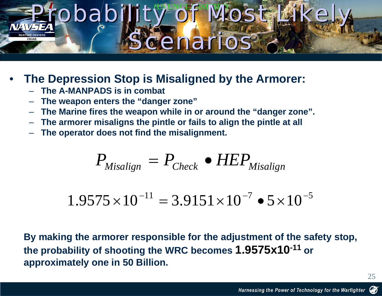### Probability of Most Likely Scenarios Scenarios

#### •**The Depression Stop is Misaligned by the Armorer:**

- –**The A-MANPADS is in combat**
- –**The weapon enters the "danger zone"**
- –**The Marine fires the weapon while in or around the "danger zone".**
- –**The armorer misaligns the pintle or fails to align the pintle at all**
- –**The operator does not find the misalignment.**

$$
P_{\text{Misalign}} = P_{\text{Check}} \bullet HEP_{\text{Misalign}}
$$

$$
1.9575 \times 10^{-11} = 3.9151 \times 10^{-7} \cdot 5 \times 10^{-5}
$$

**By making the armorer responsible for the adjustment of the safety stop, the probability of shooting the WRC becomes 1.9575x10-11 or approximately one in 50 Billion.**

25

Ø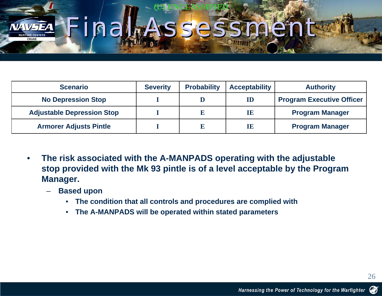### **(U) UNCLASSIFIED** Final

| <b>Scenario</b>                   | <b>Severity</b> | <b>Probability</b> | <b>Acceptability</b> | <b>Authority</b>                 |
|-----------------------------------|-----------------|--------------------|----------------------|----------------------------------|
| <b>No Depression Stop</b>         |                 |                    | ${\bf ID}$           | <b>Program Executive Officer</b> |
| <b>Adjustable Depression Stop</b> |                 |                    | $\mathbf{H}$         | <b>Program Manager</b>           |
| <b>Armorer Adjusts Pintle</b>     |                 |                    | $\mathbf{H}$         | <b>Program Manager</b>           |

- • **The risk associated with the A-MANPADS operating with the adjustable stop provided with the Mk 93 pintle is of a level acceptable by the Program Manager.** 
	- **Based upon** 
		- **The condition that all controls and procedures are complied with**
		- $\bullet$ **The A-MANPADS will be operated within stated parameters**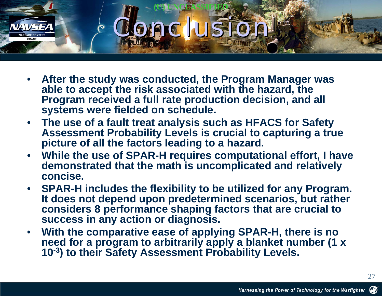

- • **After the study was conducted, the Program Manager was able to accept the risk associated with the hazard, the Program received a full rate production decision, and all systems were fielded on schedule.**
- **The use of a fault treat analysis such as HFACS for Safety Assessment Probability Levels is crucial to capturing a true picture of all the factors leading to a hazard.**
- **While the use of SPAR-H requires computational effort, I have demonstrated that the math is uncomplicated and relatively concise.**
- **SPAR-H includes the flexibility to be utilized for any Program. It does not depend upon predetermined scenarios, but rather considers 8 performance shaping factors that are crucial to success in any action or diagnosis.**
- $\bullet$  **With the comparative ease of applying SPAR-H, there is no**  need for a program to arbitrarily apply a blanket number (1 x **10-3) to their Safety Assessment Probability Levels.**